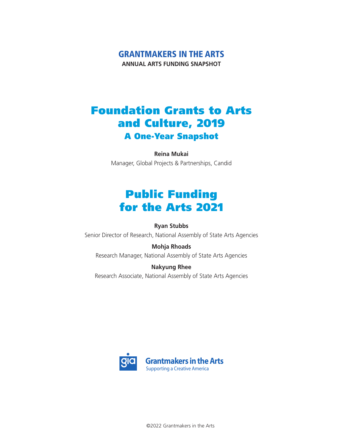# Grantmakers in the Arts

**ANNUAL ARTS FUNDING SNAPSHOT**

# Foundation Grants to Arts and Culture, 2019 A One-Year Snapshot

**Reina Mukai** Manager, Global Projects & Partnerships, Candid

# Public Funding for the Arts 2021

#### **Ryan Stubbs**

Senior Director of Research, National Assembly of State Arts Agencies

#### **Mohja Rhoads**

Research Manager, National Assembly of State Arts Agencies

**Nakyung Rhee** Research Associate, National Assembly of State Arts Agencies



©2022 Grantmakers in the Arts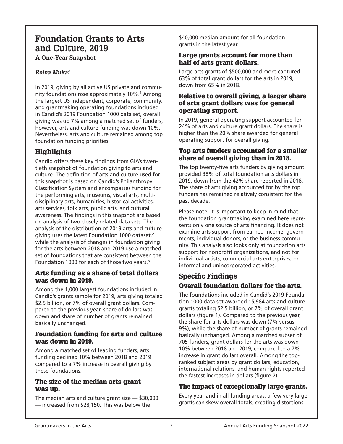# **Foundation Grants to Arts and Culture, 2019**

**A One-Year Snapshot**

#### *Reina Mukai*

In 2019, giving by all active US private and community foundations rose approximately 10%.<sup>1</sup> Among the largest US independent, corporate, community, and grantmaking operating foundations included in Candid's 2019 Foundation 1000 data set, overall giving was up 7% among a matched set of funders, however, arts and culture funding was down 10%. Nevertheless, arts and culture remained among top foundation funding priorities.

### **Highlights**

Candid offers these key findings from GIA's twentieth snapshot of foundation giving to arts and culture. The definition of arts and culture used for this snapshot is based on Candid's Philanthropy Classification System and encompasses funding for the performing arts, museums, visual arts, multidisciplinary arts, humanities, historical activities, arts services, folk arts, public arts, and cultural awareness. The findings in this snapshot are based on analysis of two closely related data sets. The analysis of the distribution of 2019 arts and culture giving uses the latest Foundation 1000 dataset, $2$ while the analysis of changes in foundation giving for the arts between 2018 and 2019 use a matched set of foundations that are consistent between the Foundation 1000 for each of those two years.<sup>3</sup>

#### Arts funding as a share of total dollars was down in 2019.

Among the 1,000 largest foundations included in Candid's grants sample for 2019, arts giving totaled \$2.5 billion, or 7% of overall grant dollars. Compared to the previous year, share of dollars was down and share of number of grants remained basically unchanged.

#### Foundation funding for arts and culture was down in 2019.

Among a matched set of leading funders, arts funding declined 10% between 2018 and 2019 compared to a 7% increase in overall giving by these foundations.

#### The size of the median arts grant was up.

The median arts and culture grant size — \$30,000 — increased from \$28,150. This was below the

\$40,000 median amount for all foundation grants in the latest year.

#### Large grants account for more than half of arts grant dollars.

Large arts grants of \$500,000 and more captured 63% of total grant dollars for the arts in 2019, down from 65% in 2018.

#### Relative to overall giving, a larger share of arts grant dollars was for general operating support.

In 2019, general operating support accounted for 24% of arts and culture grant dollars. The share is higher than the 20% share awarded for general operating support for overall giving.

#### Top arts funders accounted for a smaller share of overall giving than in 2018.

The top twenty-five arts funders by giving amount provided 38% of total foundation arts dollars in 2019, down from the 42% share reported in 2018. The share of arts giving accounted for by the top funders has remained relatively consistent for the past decade.

Please note: It is important to keep in mind that the foundation grantmaking examined here represents only one source of arts financing. It does not examine arts support from earned income, governments, individual donors, or the business community. This analysis also looks only at foundation arts support for nonprofit organizations, and not for individual artists, commercial arts enterprises, or informal and unincorporated activities.

#### Specific Findings Overall foundation dollars for the arts.

The foundations included in Candid's 2019 Foundation 1000 data set awarded 15,984 arts and culture grants totaling \$2.5 billion, or 7% of overall grant dollars (figure 1). Compared to the previous year, the share for arts dollars was down (7% versus 9%), while the share of number of grants remained basically unchanged. Among a matched subset of 705 funders, grant dollars for the arts was down 10% between 2018 and 2019, compared to a 7% increase in grant dollars overall. Among the topranked subject areas by grant dollars, education, international relations, and human rights reported the fastest increases in dollars (figure 2).

#### The impact of exceptionally large grants.

Every year and in all funding areas, a few very large grants can skew overall totals, creating distortions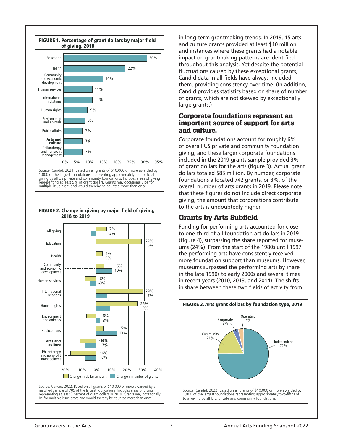



in long-term grantmaking trends. In 2019, 15 arts and culture grants provided at least \$10 million, and instances where these grants had a notable impact on grantmaking patterns are identified throughout this analysis. Yet despite the potential fluctuations caused by these exceptional grants, Candid data in all fields have always included them, providing consistency over time. (In addition, Candid provides statistics based on share of number of grants, which are not skewed by exceptionally large grants.)

#### Corporate foundations represent an important source of support for arts and culture.

Corporate foundations account for roughly 6% of overall US private and community foundation giving, and these larger corporate foundations included in the 2019 grants sample provided 3% of grant dollars for the arts (figure 3). Actual grant dollars totaled \$85 million. By number, corporate foundations allocated 742 grants, or 3%, of the overall number of arts grants in 2019. Please note that these figures do not include direct corporate giving; the amount that corporations contribute to the arts is undoubtedly higher.

### Grants by Arts Subfield

Funding for performing arts accounted for close to one-third of all foundation art dollars in 2019 (figure 4), surpassing the share reported for museums (24%). From the start of the 1980s until 1997, the performing arts have consistently received more foundation support than museums. However, museums surpassed the performing arts by share in the late 1990s to early 2000s and several times in recent years (2010, 2013, and 2014). The shifts in share between these two fields of activity from

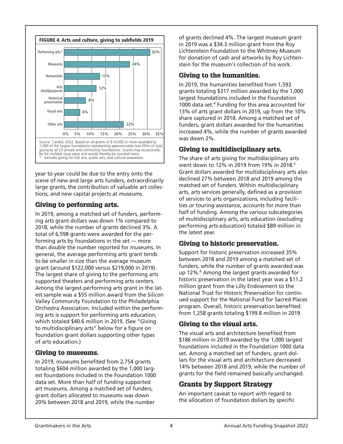

year to year could be due to the entry onto the scene of new and large arts funders, extraordinarily large grants, the contribution of valuable art collections, and new capital projects at museums.

#### Giving to performing arts.

In 2019, among a matched set of funders, performing arts grant dollars was down 1% compared to 2018, while the number of grants declined 3%. A total of 6,598 grants were awarded for the performing arts by foundations in the set — more than double the number reported for museums. In general, the average performing arts grant tends to be smaller in size than the average museum grant (around \$122,000 versus \$219,000 in 2019). The largest share of giving to the performing arts supported theaters and performing arts centers. Among the largest performing arts grant in the latest sample was a \$55 million award from the Silicon Valley Community Foundation to the Philadelphia Orchestra Association. Included within the performing arts is support for performing arts education, which totaled \$40.6 million in 2019. (See "Giving to multidisciplinary arts" below for a figure on foundation grant dollars supporting other types of arts education.)

#### Giving to museums.

In 2019, museums benefited from 2,754 grants totaling \$604 million awarded by the 1,000 largest foundations included in the Foundation 1000 data set. More than half of funding supported art museums. Among a matched set of funders, grant dollars allocated to museums was down 20% between 2018 and 2019, while the number

of grants declined 4%. The largest museum grant in 2019 was a \$34.3 million grant from the Roy Lichtenstein Foundation to the Whitney Museum for donation of cash and artworks by Roy Lichtenstein for the museum's collection of his work.

#### Giving to the humanities.

In 2019, the humanities benefited from 1,593 grants totaling \$317 million awarded by the 1,000 largest foundations included in the Foundation 1000 data set.<sup>4</sup> Funding for this area accounted for 13% of arts grant dollars in 2019, up from the 10% share captured in 2018. Among a matched set of funders, grant dollars awarded for the humanities increased 4%, while the number of grants awarded was down 2%.

#### Giving to multidisciplinary arts.

The share of arts giving for multidisciplinary arts went down to 12% in 2019 from 19% in 2018.5 Grant dollars awarded for multidisciplinary arts also declined 27% between 2018 and 2019 among the matched set of funders. Within multidisciplinary arts, arts services generally, defined as a provision of services to arts organizations, including facilities or touring assistance, accounts for more than half of funding. Among the various subcategories of multidisciplinary arts, arts education (excluding performing arts education) totaled \$89 million in the latest year.

### Giving to historic preservation.

Support for historic preservation increased 35% between 2018 and 2019 among a matched set of funders, while the number of grants awarded was up 12%.<sup>6</sup> Among the largest grants awarded for historic preservation in the latest year was a \$11.2 million grant from the Lilly Endowment to the National Trust for Historic Preservation for continued support for the National Fund for Sacred Places program. Overall, historic preservation benefited from 1,258 grants totaling \$199.8 million in 2019.

#### Giving to the visual arts.

The visual arts and architecture benefited from \$186 million in 2019 awarded by the 1,000 largest foundations included in the Foundation 1000 data set. Among a matched set of funders, grant dollars for the visual arts and architecture decreased 14% between 2018 and 2019, while the number of grants for the field remained basically unchanged.

### Grants by Support Strategy

An important caveat to report with regard to the allocation of foundation dollars by specific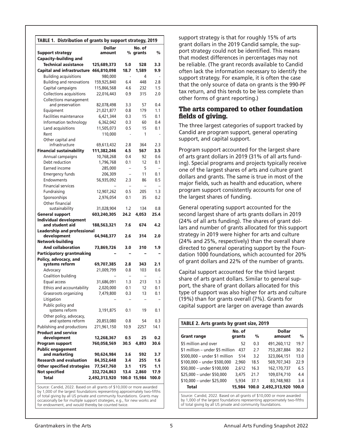| TABLE 1. Distribution of grants by support strategy, 2019 |               |                          |              |                |  |  |  |  |
|-----------------------------------------------------------|---------------|--------------------------|--------------|----------------|--|--|--|--|
|                                                           | <b>Dollar</b> |                          | No. of       |                |  |  |  |  |
| <b>Support strategy</b>                                   | amount        |                          | % grants     | $\frac{0}{0}$  |  |  |  |  |
| <b>Capacity-building and</b>                              |               |                          |              |                |  |  |  |  |
| <b>Technical assistance</b>                               | 125,689,373   | 5.0                      | 528          | 3.3            |  |  |  |  |
| <b>Capital and infrastructure</b>                         | 466,810,098   | 18.7                     | 1,589        | 9.9            |  |  |  |  |
| <b>Building acquisitions</b>                              | 980,000       |                          | 4            |                |  |  |  |  |
| <b>Building and renovations</b>                           | 159,925,840   | 6.4                      | 448          | 2.8            |  |  |  |  |
| Capital campaigns                                         | 115,866,568   | 4.6                      | 232          | 1.5            |  |  |  |  |
| <b>Collections acquisitions</b>                           | 22,016,443    | 0.9                      | 315          | 2.0            |  |  |  |  |
| <b>Collections management</b>                             |               |                          |              |                |  |  |  |  |
| and preservation                                          | 82,078,498    | 3.3                      | 57           | 0.4            |  |  |  |  |
| Equipment                                                 | 21,021,877    | 0.8                      | 179          | 1.1            |  |  |  |  |
| <b>Facilities maintenance</b>                             | 6,421,344     | 0.3                      | 15           | 0.1            |  |  |  |  |
| Information technology                                    | 6,362,042     | 0.3                      | 60           | 0.4            |  |  |  |  |
| Land acquisitions                                         | 11,505,073    | 0.5                      | 15           | 0.1            |  |  |  |  |
| Rent                                                      | 110,000       |                          | 1            |                |  |  |  |  |
| Other capital and<br>infrastructure                       | 69,613,432    | 2.8                      | 364          | 2.3            |  |  |  |  |
| <b>Financial sustainability</b>                           | 111,382,246   | 4.5                      | 567          | 3.5            |  |  |  |  |
| Annual campaigns                                          | 10,768,268    | 0.4                      | 92           | 0.6            |  |  |  |  |
| Debt reduction                                            | 1,796,768     | 0.1                      | 12           | 0.1            |  |  |  |  |
| Earned income                                             | 285,000       | $\overline{\phantom{0}}$ | 5            | $\overline{a}$ |  |  |  |  |
| <b>Emergency funds</b>                                    |               |                          | 11           | 0.1            |  |  |  |  |
| Endowments                                                | 206,309       | 2.3                      | 86           | 0.5            |  |  |  |  |
| <b>Financial services</b>                                 | 56,935,092    |                          |              |                |  |  |  |  |
| Fundraising                                               | 12,907,262    | 0.5                      | 205          | 1.3            |  |  |  |  |
| Sponsorships                                              | 2,976,054     | 0.1                      | 35           | 0.2            |  |  |  |  |
| Other financial                                           |               |                          |              |                |  |  |  |  |
| sustainability                                            | 31,028,904    | 1.2                      | 134          | 0.8            |  |  |  |  |
| <b>General support</b>                                    | 603,240,305   | 24.2                     | 4,053        | 25.4           |  |  |  |  |
| <b>Individual development</b>                             |               |                          |              |                |  |  |  |  |
| and student aid                                           | 188,563,321   | 7.6                      | 674          | 4.2            |  |  |  |  |
| <b>Leadership and professional</b>                        |               |                          |              |                |  |  |  |  |
| development                                               | 64,948,377    | 2.6                      | 314          | 2.0            |  |  |  |  |
| <b>Network-building</b>                                   |               |                          |              |                |  |  |  |  |
| <b>And collaboration</b>                                  | 73,869,726    | 3.0                      | 310          | 1.9            |  |  |  |  |
| <b>Participatory grantmaking</b>                          |               |                          |              |                |  |  |  |  |
| Policy, advocacy, and                                     |               |                          |              |                |  |  |  |  |
| systems reform                                            | 69,707,385    | 2.8                      | 343          | 2.1            |  |  |  |  |
| Advocacy                                                  | 21,009,799    | 0.8                      | 103          | 0.6            |  |  |  |  |
| Coalition building                                        |               |                          |              |                |  |  |  |  |
| Equal access                                              | 31,686,091    | 1.3                      | 213          | 1.3            |  |  |  |  |
| Ethics and accountability                                 | 2,020,000     | 0.1                      | 12           | 0.1            |  |  |  |  |
| Grassroots organizing                                     | 7,479,800     | 0.3                      | 13           | 0.1            |  |  |  |  |
| Litigation                                                |               |                          |              |                |  |  |  |  |
| Public policy and                                         |               |                          |              |                |  |  |  |  |
| systems reform                                            | 3,191,875     | 0.1                      | 19           | 0.1            |  |  |  |  |
| Other policy, advocacy,<br>and systems reform             | 20,853,080    | 0.8                      | 54           | 0.3            |  |  |  |  |
| Publishing and productions                                | 271,961,150   | 10.9                     | 2257         | 14.1           |  |  |  |  |
| <b>Product and service</b>                                |               |                          |              |                |  |  |  |  |
| development                                               | 12,268,367    | 0.5                      | 25           | 0.2            |  |  |  |  |
| <b>Program support</b>                                    | 760,058,569   | 30.5                     | 4,893        | 30.6           |  |  |  |  |
| <b>Public engagement</b>                                  |               |                          |              |                |  |  |  |  |
| and marketing                                             | 90,624,984    | 3.6                      | 592          | 3.7            |  |  |  |  |
| <b>Research and evaluation</b>                            | 84,352,648    | 3.4                      | 255          | 1.6            |  |  |  |  |
| <b>Other specified strategies</b>                         | 77,547,760    | 3.1                      | 175          | 1.1            |  |  |  |  |
| <b>Not specified</b>                                      | 332,724,863   | 13.4                     | 2,860        | 17.9           |  |  |  |  |
| <b>Total</b>                                              | 2,492,313,920 |                          | 100.0 15,984 | 100.0          |  |  |  |  |
|                                                           |               |                          |              |                |  |  |  |  |

Source: Candid, 2022. Based on all grants of \$10,000 or more awarded by 1,000 of the largest foundations representing approximately two-fifths of total giving by all US private and community foundations. Grants may occasionally be for multiple support strategies, e.g., for new works and for endowment, and would thereby be counted twice.

support strategy is that for roughly 15% of arts grant dollars in the 2019 Candid sample, the support strategy could not be identified. This means that modest differences in percentages may not be reliable. (The grant records available to Candid often lack the information necessary to identify the support strategy. For example, it is often the case that the only source of data on grants is the 990-PF tax return, and this tends to be less complete than other forms of grant reporting.)

#### The arts compared to other foundation fields of giving.

The three largest categories of support tracked by Candid are program support, general operating support, and capital support.

Program support accounted for the largest share of arts grant dollars in 2019 (31% of all arts funding). Special programs and projects typically receive one of the largest shares of arts and culture grant dollars and grants. The same is true in most of the major fields, such as health and education, where program support consistently accounts for one of the largest shares of funding.

General operating support accounted for the second largest share of arts grants dollars in 2019 (24% of all arts funding). The shares of grant dollars and number of grants allocated for this support strategy in 2019 were higher for arts and culture (24% and 25%, respectively) than the overall share directed to general operating support by the Foundation 1000 foundations, which accounted for 20% of grant dollars and 22% of the number of grants.

Capital support accounted for the third largest share of arts grant dollars. Similar to general support, the share of grant dollars allocated for this type of support was also higher for arts and culture (19%) than for grants overall (7%). Grants for capital support are larger on average than awards

|                                 | No. of |      | <b>Dollar</b>             |      |  |  |
|---------------------------------|--------|------|---------------------------|------|--|--|
| <b>Grant range</b>              | grants | %    | amount                    | %    |  |  |
| \$5 million and over            | 52     | 0.3  | 491.260.112               | 19.7 |  |  |
| \$1 million – under \$5 million | 437    | 2.7  | 753,287,884               | 30.2 |  |  |
| \$500,000 - under \$1 million   | 514    | 3.2  | 323,064,151               | 13.0 |  |  |
| \$100,000 - under \$500,000     | 2,960  | 18.5 | 569,707,343               | 22.9 |  |  |
| \$50,000 - under \$100,000      | 2.612  | 16.3 | 162, 170, 737             | 6.5  |  |  |
| \$25,000 - under \$50,000       | 3.475  | 21.7 | 109.074.710               | 4.4  |  |  |
| \$10,000 - under \$25,000       | 5,934  | 37.1 | 83,748,983                | 3.4  |  |  |
| <b>Total</b>                    | 15,984 |      | 100.0 2.492.313.920 100.0 |      |  |  |

of total giving by all US private and community foundations.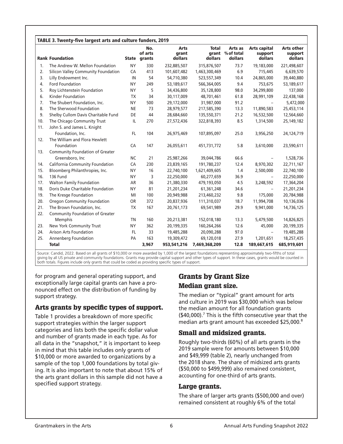|     | <b>Rank Foundation</b>              |           | No.<br>of arts<br>State grants | <b>Arts</b><br>grant<br>dollars | <b>Total</b><br>grant<br>dollars | Arts as<br>% of total<br>dollars | <b>Arts capital</b><br>support<br>dollars | <b>Arts other</b><br>support<br>dollars |
|-----|-------------------------------------|-----------|--------------------------------|---------------------------------|----------------------------------|----------------------------------|-------------------------------------------|-----------------------------------------|
| 1.  | The Andrew W. Mellon Foundation     | <b>NY</b> | 330                            | 232,885,507                     | 315,876,507                      | 73.7                             | 19,183,000                                | 221,498,607                             |
| 2.  | Silicon Valley Community Foundation | CA        | 413                            | 101,607,482                     | 1,463,300,469                    | 6.9                              | 715,445                                   | 6,639,570                               |
| 3.  | Lilly Endowment Inc.                | IN        | 54                             | 54,710,380                      | 523,557,349                      | 10.4                             | 24,865,000                                | 39,440,880                              |
| 4.  | <b>Ford Foundation</b>              | <b>NY</b> | 249                            | 53,189,617                      | 566,364,005                      | 9.4                              | 753,675                                   | 53,189,617                              |
| 5.  | Roy Lichtenstein Foundation         | <b>NY</b> | 5                              | 34,436,800                      | 35,128,800                       | 98.0                             | 34,299,800                                | 137,000                                 |
| 6.  | <b>Kinder Foundation</b>            | <b>TX</b> | 34                             | 30,117,009                      | 48,701,461                       | 61.8                             | 28,991,109                                | 22,438,168                              |
| 7.  | The Shubert Foundation, Inc.        | <b>NY</b> | 500                            | 29,172,000                      | 31,987,000                       | 91.2                             | $\overline{\phantom{m}}$                  | 5,472,000                               |
| 8.  | The Sherwood Foundation             | <b>NE</b> | 73                             | 28,979,577                      | 217,585,390                      | 13.3                             | 11,890,583                                | 25,453,114                              |
| 9.  | Shelby Cullom Davis Charitable Fund | DE        | 44                             | 28,684,660                      | 135,550,371                      | 21.2                             | 16,532,500                                | 12,564,660                              |
| 10. | The Chicago Community Trust         | IL.       | 270                            | 27,572,436                      | 322,818,393                      | 8.5                              | 1,314,500                                 | 25,149,182                              |
| 11. | John S. and James L. Knight         |           |                                |                                 |                                  |                                  |                                           |                                         |
|     | Foundation, Inc.                    | FL.       | 104                            | 26,975,469                      | 107,895,097                      | 25.0                             | 3,956,250                                 | 24,124,719                              |
| 12. | The William and Flora Hewlett       |           |                                |                                 |                                  |                                  |                                           |                                         |
|     | Foundation                          | CA        | 147                            | 26,055,611                      | 451,731,772                      | 5.8                              | 3,610,000                                 | 23,590,611                              |
| 13. | Community Foundation of Greater     |           |                                |                                 |                                  |                                  |                                           |                                         |
|     | Greensboro, Inc                     | <b>NC</b> | 21                             | 25,987,266                      | 39,044,786                       | 66.6                             |                                           | 1,528,736                               |
| 14. | California Community Foundation     | CA        | 230                            | 23,839,165                      | 191,780,237                      | 12.4                             | 8,970,302                                 | 22,711,167                              |
| 15. | Bloomberg Philanthropies, Inc.      | <b>NY</b> | 16                             | 22,740,100                      | 1,621,409,605                    | 1.4                              | 2,500,000                                 | 22,740,100                              |
| 16. | 136 Fund                            | <b>NY</b> | 3                              | 22,250,000                      | 60,277,659                       | 36.9                             | $\equiv$                                  | 22,250,000                              |
| 17. | <b>Walton Family Foundation</b>     | AR        | 36                             | 21,380,330                      | 479,193,050                      | 4.5                              | 3,248,592                                 | 17,364,204                              |
| 18. | Doris Duke Charitable Foundation    | <b>NY</b> | 81                             | 21,201,234                      | 61,361,248                       | 34.6                             |                                           | 21,201,234                              |
| 19. | The Kresge Foundation               | MI        | 100                            | 20,949,988                      | 213,460,232                      | 9.8                              | 175,000                                   | 20,784,988                              |
| 20. | Oregon Community Foundation         | <b>OR</b> | 372                            | 20,837,936                      | 111,310,037                      | 18.7                             | 11,994,708                                | 10,136,036                              |
| 21. | The Brown Foundation, Inc.          | <b>TX</b> | 167                            | 20,761,173                      | 69,541,989                       | 29.9                             | 9,941,000                                 | 14,736,125                              |
| 22. | Community Foundation of Greater     |           |                                |                                 |                                  |                                  |                                           |                                         |
|     | Memphis                             | <b>TN</b> | 160                            | 20,213,381                      | 152,018,180                      | 13.3                             | 5,479,500                                 | 14,826,825                              |
| 23. | New York Community Trust            | <b>NY</b> | 362                            | 20,199,335                      | 160,264,266                      | 12.6                             | 45,000                                    | 20,199,335                              |
| 24. | <b>Arison Arts Foundation</b>       | FL.       | 33                             | 19,485,288                      | 20,090,288                       | 97.0                             | $\overline{\phantom{a}}$                  | 19,485,288                              |
| 25. | Annenberg Foundation                | PA        | 163                            | 19,309,472                      | 69,120,018                       | 27.9                             | 1,201,651                                 | 18,257,435                              |
|     | <b>Total</b>                        |           | 3,967                          | 953,541,216                     | 7,469,368,209                    | 12.8                             | 189,667,615                               | 685,919,601                             |

Source: Candid, 2022. Based on all grants of \$10,000 or more awarded by 1,000 of the largest foundations representing approximately two-fifths of total giving by all US private and community foundations. Grants may provide capital support and other types of support. In these cases, grants would be counted in both totals. Figures include only grants that could be coded as providing specific types of support.

for program and general operating support, and exceptionally large capital grants can have a pronounced effect on the distribution of funding by support strategy.

#### Arts grants by specific types of support.

Table 1 provides a breakdown of more specific support strategies within the larger support categories and lists both the specific dollar value and number of grants made in each type. As for all data in the "snapshot," it is important to keep in mind that this table includes only grants of \$10,000 or more awarded to organizations by a sample of the top 1,000 foundations by total giving. It is also important to note that about 15% of the arts grant dollars in this sample did not have a specified support strategy.

### Grants by Grant Size Median grant size.

The median or "typical" grant amount for arts and culture in 2019 was \$30,000 which was below the median amount for all foundation grants  $($40,000).$ <sup>7</sup> This is the fifth consecutive year that the median arts grant amount has exceeded \$25,000.8

#### Small and midsized grants.

Roughly two-thirds (60%) of all arts grants in the 2019 sample were for amounts between \$10,000 and \$49,999 (table 2), nearly unchanged from the 2018 share. The share of midsized arts grants (\$50,000 to \$499,999) also remained consistent, accounting for one-third of arts grants.

#### Large grants.

The share of larger arts grants (\$500,000 and over) remained consistent at roughly 6% of the total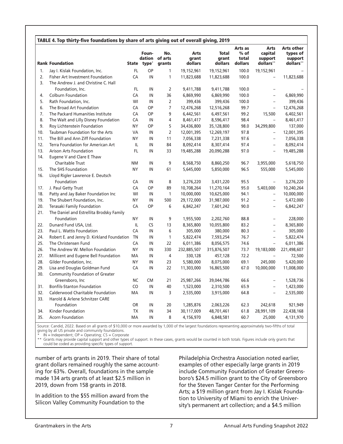|     |                                            |           |                                  |                                 |                                 |                                  | Arts as                    | <b>Arts</b>                     | <b>Arts other</b>                |
|-----|--------------------------------------------|-----------|----------------------------------|---------------------------------|---------------------------------|----------------------------------|----------------------------|---------------------------------|----------------------------------|
|     | <b>Rank Foundation</b>                     |           | Foun-<br>State type <sup>*</sup> | No.<br>dation of arts<br>grants | <b>Arts</b><br>grant<br>dollars | <b>Total</b><br>grant<br>dollars | $%$ of<br>total<br>dollars | capital<br>support<br>dollars** | types of<br>support<br>dollars** |
| 1.  | Jay I. Kislak Foundation, Inc.             | FL.       | OP                               | 1                               | 19,152,961                      | 19,152,961                       | 100.0                      | 19,152,961                      |                                  |
| 2.  | Fisher Art Investment Foundation           | CA        | IN                               | 1                               | 11,823,688                      | 11,823,688                       | 100.0                      | $\overline{\phantom{a}}$        | 11,823,688                       |
| 3.  | The Andrew J. and Christine C. Hall        |           |                                  |                                 |                                 |                                  |                            |                                 |                                  |
|     | Foundation, Inc.                           | FL.       | IN                               | $\overline{2}$                  | 9,411,788                       | 9,411,788                        | 100.0                      | $\overline{\phantom{a}}$        |                                  |
| 4.  | <b>Colburn Foundation</b>                  | CA        | IN                               | 36                              | 6,869,990                       | 6,869,990                        | 100.0                      | $\overline{\phantom{0}}$        | 6,869,990                        |
| 5.  | Rath Foundation, Inc.                      | WI        | IN                               | $\overline{2}$                  | 399,436                         | 399,436                          | 100.0                      | $\overline{\phantom{a}}$        | 399,436                          |
| 6.  | The Broad Art Foundation                   | CA        | OP                               | $\overline{7}$                  | 12,476,268                      | 12,516,268                       | 99.7                       | $\overline{\phantom{0}}$        | 12,476,268                       |
| 7.  | The Packard Humanities Institute           | CA        | OP                               | 9                               | 6,442,561                       | 6,497,561                        | 99.2                       | 15,500                          | 6,402,561                        |
| 8.  | The Walt and Lilly Disney Foundation       | CA        | IN                               | 4                               | 8,461,417                       | 8,596,417                        | 98.4                       |                                 | 8,461,417                        |
| 9.  | Roy Lichtenstein Foundation                | <b>NY</b> | OP                               | 5                               | 34,436,800                      | 35,128,800                       | 98.0                       | 34,299,800                      | 137,000                          |
| 10. | Taubman Foundation for the Arts            | <b>VA</b> | IN                               | $\overline{2}$                  | 12,001,395                      | 12,269,197                       | 97.8                       | $\qquad \qquad -$               | 12,001,395                       |
| 11. | The Bill and Ann Ziff Foundation           | <b>NY</b> | IN                               | 11                              | 7,056,338                       | 7,231,338                        | 97.6                       | $\overline{\phantom{0}}$        | 7,056,338                        |
| 12. | Terra Foundation for American Art          | IL.       | IN                               | 84                              | 8,092,414                       | 8,307,414                        | 97.4                       | $\overline{\phantom{0}}$        | 8,092,414                        |
| 13. | <b>Arison Arts Foundation</b>              | <b>FL</b> | IN                               | 33                              | 19,485,288                      | 20,090,288                       | 97.0                       | $\overline{a}$                  | 19,485,288                       |
| 14. | Eugene V and Clare E Thaw                  |           |                                  |                                 |                                 |                                  |                            |                                 |                                  |
|     | <b>Charitable Trust</b>                    | <b>NM</b> | IN                               | 9                               | 8,568,750                       | 8,860,250                        | 96.7                       | 3,955,000                       | 5,618,750                        |
| 15. | The SHS Foundation                         | <b>NY</b> | IN                               | 61                              | 5,645,000                       | 5,850,000                        | 96.5                       | 555,000                         | 5,545,000                        |
| 16. | Lloyd Rigler Lawrence E. Deutsch           |           |                                  |                                 |                                 |                                  |                            |                                 |                                  |
|     | Foundation                                 | CA        | IN                               | 8                               | 3,276,220                       | 3,431,220                        | 95.5                       | $\overline{\phantom{a}}$        | 3,276,220                        |
| 17. | J. Paul Getty Trust                        | CA        | ОP                               | 89                              | 10,708,264                      | 11,270,164                       | 95.0                       | 5,403,000                       | 10,240,264                       |
| 18. | Patty and Jay Baker Foundation Inc         | WI        | IN                               | $\mathbf{1}$                    | 10,000,000                      | 10,625,000                       | 94.1                       | $\qquad \qquad -$               | 10,000,000                       |
| 19. | The Shubert Foundation, Inc.               | <b>NY</b> | IN                               | 500                             | 29,172,000                      | 31,987,000                       | 91.2                       | $\qquad \qquad -$               | 5,472,000                        |
| 20. | Terasaki Family Foundation                 | CA        | OP                               | 6                               | 6,842,247                       | 7,601,242                        | 90.0                       | $\overline{\phantom{a}}$        | 6,842,247                        |
| 21. | The Daniel and Estrellita Brodsky Family   |           |                                  |                                 |                                 |                                  |                            |                                 |                                  |
|     | Foundation                                 | <b>NY</b> | IN                               | 9                               | 1,955,500                       | 2,202,760                        | 88.8                       | $\overline{a}$                  | 228,000                          |
| 22. | Dunard Fund USA, Ltd.                      | IL        | CS                               | 13                              | 8,365,800                       | 10,055,800                       | 83.2                       | $\overline{a}$                  | 8,365,800                        |
| 23. | Paul L. Wattis Foundation                  | CA        | IN                               | 6                               | 305,000                         | 380,000                          | 80.3                       | $\overline{a}$                  | 305,000                          |
| 24. | Robert E. and Jenny D. Kirkland Foundation | <b>TN</b> | IN                               | $\mathbf{1}$                    | 5,822,474                       | 7,593,254                        | 76.7                       | $\overline{a}$                  | 5,822,474                        |
| 25. | The Christensen Fund                       | CA        | IN                               | 22                              | 6,011,386                       | 8,056,575                        | 74.6                       | $\overline{a}$                  | 6,011,386                        |
| 26. | The Andrew W. Mellon Foundation            | <b>NY</b> | IN                               | 330                             | 232,885,507                     | 315,876,507                      | 73.7                       | 19,183,000                      | 221,498,607                      |
| 27. | Millicent and Eugene Bell Foundation       | MA        | IN                               | 4                               | 330,128                         | 457,128                          | 72.2                       |                                 | 72,500                           |
| 28. | Gilder Foundation, Inc.                    | <b>NY</b> | IN                               | 23                              | 5,580,000                       | 8,075,000                        | 69.1                       | 245,000                         | 5,420,000                        |
| 29. | Lisa and Douglas Goldman Fund              | CA        | IN                               | 22                              | 11,303,000                      | 16,865,500                       | 67.0                       | 10,000,000                      | 11,008,000                       |
| 30. | Community Foundation of Greater            |           |                                  |                                 |                                 |                                  |                            |                                 |                                  |
|     | Greensboro, Inc                            | NC        | CM                               | 21                              | 25,987,266                      | 39,044,786                       | 66.6                       | $\overline{\phantom{a}}$        | 1,528,736                        |
| 31. | <b>Bonfils-Stanton Foundation</b>          | CO        | IN                               | 40                              | 1,523,000                       | 2,310,500                        | 65.9                       | $\overline{\phantom{0}}$        | 1,423,000                        |
| 32. | Calderwood Charitable Foundation           | МA        | IN                               | 3                               | 2,535,000                       | 3,915,000                        | 64.8                       | $\overline{a}$                  | 2,535,000                        |
| 33. | Harold & Arlene Schnitzer CARE             |           |                                  |                                 |                                 |                                  |                            |                                 |                                  |
|     | Foundation                                 | <b>OR</b> | IN                               | 20                              | 1,285,876                       | 2,063,226                        | 62.3                       | 242,618                         | 921,949                          |
| 34. | Kinder Foundation                          | <b>TX</b> | IN                               | 34                              | 30,117,009                      | 48,701,461                       | 61.8                       | 28,991,109                      | 22,438,168                       |
| 35. | <b>Acorn Foundation</b>                    | <b>MA</b> | IN                               | 8                               | 4,156,970                       | 6,848,581                        | 60.7                       | 25,000                          | 4,131,970                        |

Source: Candid, 2022. Based on all grants of \$10,000 or more awarded by 1,000 of the largest foundations representing approximately two-fifths of total giving by all US private and community foundations.

\* IN = Independent; OP = Operating; CS = Corporate

\*\* Grants may provide capital support and other types of support. In these cases, grants would be counted in both totals. Figures include only grants that could be coded as providing specific types of support.

number of arts grants in 2019. Their share of total grant dollars remained roughly the same accounting for 63%. Overall, foundations in the sample made 134 arts grants of at least \$2.5 million in 2019, down from 158 grants in 2018.

In addition to the \$55 million award from the Silicon Valley Community Foundation to the

Philadelphia Orchestra Association noted earlier, examples of other especially large grants in 2019 include Community Foundation of Greater Greensboro's \$24.5 million grant to the City of Greensboro for the Steven Tanger Center for the Performing Arts; a \$19 million grant from Jay I. Kislak Foundation to University of Miami to enrich the University's permanent art collection; and a \$4.5 million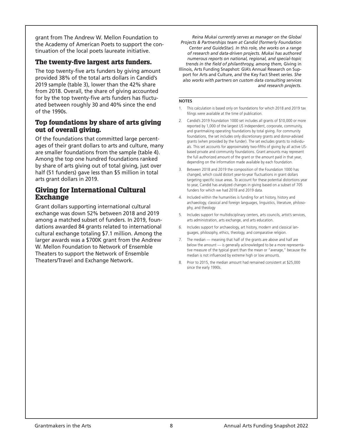grant from The Andrew W. Mellon Foundation to the Academy of American Poets to support the continuation of the local poets laureate initiative.

#### The twenty-five largest arts funders.

The top twenty-five arts funders by giving amount provided 38% of the total arts dollars in Candid's 2019 sample (table 3), lower than the 42% share from 2018. Overall, the share of giving accounted for by the top twenty-five arts funders has fluctuated between roughly 30 and 40% since the end of the 1990s.

#### Top foundations by share of arts giving out of overall giving.

Of the foundations that committed large percentages of their grant dollars to arts and culture, many are smaller foundations from the sample (table 4). Among the top one hundred foundations ranked by share of arts giving out of total giving, just over half (51 funders) gave less than \$5 million in total arts grant dollars in 2019.

#### Giving for International Cultural Exchange

Grant dollars supporting international cultural exchange was down 52% between 2018 and 2019 among a matched subset of funders. In 2019, foundations awarded 84 grants related to international cultural exchange totaling \$7.1 million. Among the larger awards was a \$700K grant from the Andrew W. Mellon Foundation to Network of Ensemble Theaters to support the Network of Ensemble Theaters/Travel and Exchange Network.

*Reina Mukai currently serves as manager on the Global Projects & Partnerships team at Candid (formerly Foundation Center and GuideStar). In this role, she works on a range of research and data-driven projects. Mukai has authored numerous reports on national, regional, and special-topic trends in the field of philanthropy, among them,* Giving in Illinois, Arts Funding Snapshot: GIA's Annual Research on Support for Arts and Culture, *and* the Key Fact Sheet *series. She also works with partners on custom data consulting services and research projects.*

#### **NOTES**

- 1. This calculation is based only on foundations for which 2018 and 2019 tax filings were available at the time of publication.
- 2. Candid's 2019 Foundation 1000 set includes all grants of \$10,000 or more reported by 1,000 of the largest US independent, corporate, community, and grantmaking operating foundations by total giving. For community foundations, the set includes only discretionary grants and donor-advised grants (when provided by the funder). The set excludes grants to individuals. This set accounts for approximately two-fifths of giving by all active USbased private and community foundations. Grant amounts may represent the full authorized amount of the grant or the amount paid in that year, depending on the information made available by each foundation.
- 3. Between 2018 and 2019 the composition of the Foundation 1000 has changed, which could distort year-to-year fluctuations in grant dollars targeting specific issue areas. To account for these potential distortions year to year, Candid has analyzed changes in giving based on a subset of 705 funders for which we had 2018 and 2019 data.
- 4. Included within the humanities is funding for art history, history and archaeology, classical and foreign languages, linguistics, literature, philosophy, and theology
- 5. Includes support for multidisciplinary centers, arts councils, artist's services, arts administration, arts exchange, and arts education.
- 6. Includes support for archaeology, art history, modern and classical languages, philosophy, ethics, theology, and comparative religion.
- 7. The median meaning that half of the grants are above and half are below the amount — is generally acknowledged to be a more representative measure of the typical grant than the mean or "average," because the median is not influenced by extreme high or low amounts.
- 8. Prior to 2015, the median amount had remained consistent at \$25,000 since the early 1990s.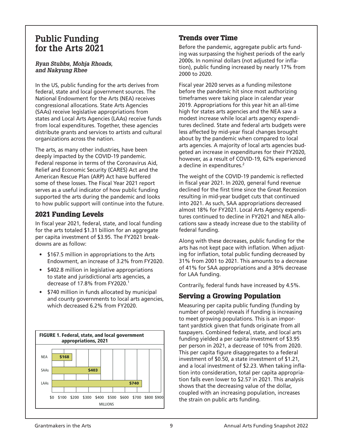# **Public Funding for the Arts 2021**

#### *Ryan Stubbs, Mohja Rhoads, and Nakyung Rhee*

In the US, public funding for the arts derives from federal, state and local government sources. The National Endowment for the Arts (NEA) receives congressional allocations. State Arts Agencies (SAAs) receive legislative appropriations from states and Local Arts Agencies (LAAs) receive funds from local expenditures. Together, these agencies distribute grants and services to artists and cultural organizations across the nation.

The arts, as many other industries, have been deeply impacted by the COVID-19 pandemic. Federal response in terms of the Coronavirus Aid, Relief and Economic Security (CARES) Act and the American Rescue Plan (ARP) Act have buffered some of these losses. The Fiscal Year 2021 report serves as a useful indicator of how public funding supported the arts during the pandemic and looks to how public support will continue into the future.

### 2021 Funding Levels

In fiscal year 2021, federal, state, and local funding for the arts totaled \$1.31 billion for an aggregate per capita investment of \$3.95. The FY2021 breakdowns are as follow:

- \$167.5 million in appropriations to the Arts Endowment, an increase of 3.2% from FY2020.
- • \$402.8 million in legislative appropriations to state and jurisdictional arts agencies, a decrease of 17.8% from FY2020.<sup>1</sup>
- \$740 million in funds allocated by municipal and county governments to local arts agencies, which decreased 6.2% from FY2020.



### Trends over Time

Before the pandemic, aggregate public arts funding was surpassing the highest periods of the early 2000s. In nominal dollars (not adjusted for inflation), public funding increased by nearly 17% from 2000 to 2020.

Fiscal year 2020 serves as a funding milestone before the pandemic hit since most authorizing timeframes were taking place in calendar year 2019. Appropriations for this year hit an all-time high for states arts agencies and the NEA saw a modest increase while local arts agency expenditures declined. State and federal arts budgets were less affected by mid-year fiscal changes brought about by the pandemic when compared to local arts agencies. A majority of local arts agencies budgeted an increase in expenditures for their FY2020, however, as a result of COVID-19, 62% experienced a decline in expenditures.<sup>2</sup>

The weight of the COVID-19 pandemic is reflected in fiscal year 2021. In 2020, general fund revenue declined for the first time since the Great Recession resulting in mid-year budget cuts that continued into 2021. As such, SAA appropriations decreased almost 18% for FY2021. Local Arts Agency expenditures continued to decline in FY2021 and NEA allocations saw a steady increase due to the stability of federal funding.

Along with these decreases, public funding for the arts has not kept pace with inflation. When adjusting for inflation, total public funding decreased by 31% from 2001 to 2021. This amounts to a decrease of 41% for SAA appropriations and a 30% decrease for LAA funding.

Contrarily, federal funds have increased by 4.5%.

### Serving a Growing Population

Measuring per capita public funding (funding by number of people) reveals if funding is increasing to meet growing populations. This is an important yardstick given that funds originate from all taxpayers. Combined federal, state, and local arts funding yielded a per capita investment of \$3.95 per person in 2021, a decrease of 10% from 2020. This per capita figure disaggregates to a federal investment of \$0.50, a state investment of \$1.21, and a local investment of \$2.23. When taking inflation into consideration, total per capita appropriation falls even lower to \$2.57 in 2021. This analysis shows that the decreasing value of the dollar, coupled with an increasing population, increases the strain on public arts funding.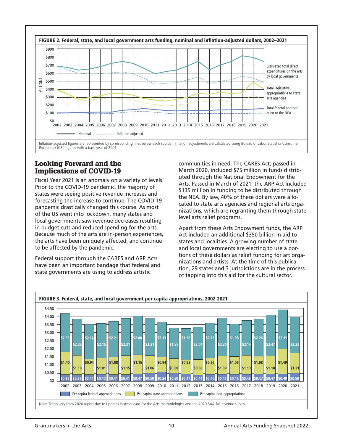

#### Looking Forward and the Implications of COVID-19

Fiscal Year 2021 is an anomaly on a variety of levels. Prior to the COVID-19 pandemic, the majority of states were seeing positive revenue increases and forecasting the increase to continue. The COVID-19 pandemic drastically changed this course. As most of the US went into lockdown, many states and local governments saw revenue decreases resulting in budget cuts and reduced spending for the arts. Because much of the arts are in-person experiences, the arts have been uniquely affected, and continue to be affected by the pandemic.

Federal support through the CARES and ARP Acts have been an important bandage that federal and state governments are using to address artistic

communities in need. The CARES Act, passed in March 2020, included \$75 million in funds distributed through the National Endowment for the Arts. Passed in March of 2021, the ARP Act included \$135 million in funding to be distributed through the NEA. By law, 40% of these dollars were allocated to state arts agencies and regional arts organizations, which are regranting them through state level arts relief programs.

Apart from these Arts Endowment funds, the ARP Act included an additional \$350 billion in aid to states and localities. A growing number of state and local governments are electing to use a portions of these dollars as relief funding for art organizations and artists. At the time of this publication, 29 states and 3 jurisdictions are in the process of tapping into this aid for the cultural sector.

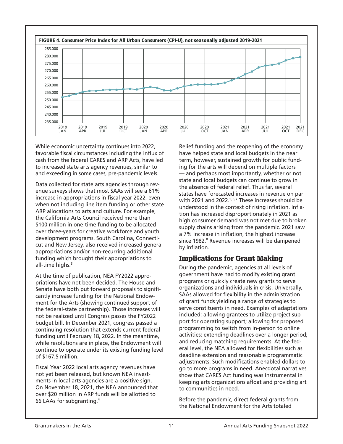

While economic uncertainty continues into 2022, favorable fiscal circumstances including the influx of cash from the federal CARES and ARP Acts, have led to increased state arts agency revenues, similar to and exceeding in some cases, pre-pandemic levels.

Data collected for state arts agencies through revenue surveys shows that most SAAs will see a 61% increase in appropriations in fiscal year 2022, even when not including line item funding or other state ARP allocations to arts and culture. For example, the California Arts Council received more than \$100 million in one-time funding to be allocated over three-years for creative workforce and youth development programs. South Carolina, Connecticut and New Jersey, also received increased general appropriations and/or non-recurring additional funding which brought their appropriations to all-time highs.<sup>3</sup>

At the time of publication, NEA FY2022 appropriations have not been decided. The House and Senate have both put forward proposals to significantly increase funding for the National Endowment for the Arts (showing continued support of the federal-state partnership). Those increases will not be realized until Congress passes the FY2022 budget bill. In December 2021, congress passed a continuing resolution that extends current federal funding until February 18, 2022. In the meantime, while resolutions are in place, the Endowment will continue to operate under its existing funding level of \$167.5 million.

Fiscal Year 2022 local arts agency revenues have not yet been released, but known NEA investments in local arts agencies are a positive sign. On November 18, 2021, the NEA announced that over \$20 million in ARP funds will be allotted to 66 LAAs for subgranting.4

Relief funding and the reopening of the economy have helped state and local budgets in the near term, however, sustained growth for public funding for the arts will depend on multiple factors — and perhaps most importantly, whether or not state and local budgets can continue to grow in the absence of federal relief. Thus far, several states have forecasted increases in revenue on par with 2021 and 2022.<sup>5,6,7</sup> These increases should be understood in the context of rising inflation. Inflation has increased disproportionately in 2021 as high consumer demand was not met due to broken supply chains arising from the pandemic. 2021 saw a 7% increase in inflation, the highest increase since 1982.<sup>8</sup> Revenue increases will be dampened by inflation.

### Implications for Grant Making

During the pandemic, agencies at all levels of government have had to modify existing grant programs or quickly create new grants to serve organizations and individuals in crisis. Universally, SAAs allowed for flexibility in the administration of grant funds yielding a range of strategies to serve constituents in need. Examples of adaptations included: allowing grantees to utilize project support for operating support; allowing for proposed programming to switch from in-person to online activities; extending deadlines over a longer period; and reducing matching requirements. At the federal level, the NEA allowed for flexibilities such as deadline extension and reasonable programmatic adjustments. Such modifications enabled dollars to go to more programs in need. Anecdotal narratives show that CARES Act funding was instrumental in keeping arts organizations afloat and providing art to communities in need.

Before the pandemic, direct federal grants from the National Endowment for the Arts totaled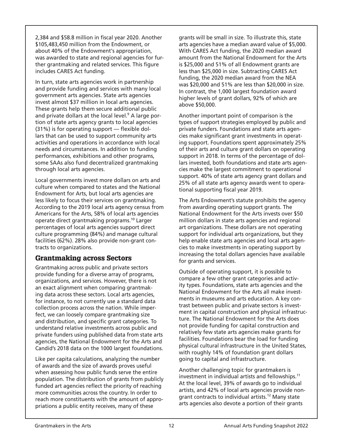2,384 and \$58.8 million in fiscal year 2020. Another \$105,483,450 million from the Endowment, or about 40% of the Endowment's appropriation, was awarded to state and regional agencies for further grantmaking and related services. This figure includes CARES Act funding.

In turn, state arts agencies work in partnership and provide funding and services with many local government arts agencies. State arts agencies invest almost \$37 million in local arts agencies. These grants help them secure additional public and private dollars at the local level.<sup>9</sup> A large portion of state arts agency grants to local agencies (31%) is for operating support — flexible dollars that can be used to support community arts activities and operations in accordance with local needs and circumstances. In addition to funding performances, exhibitions and other programs, some SAAs also fund decentralized grantmaking through local arts agencies.

Local governments invest more dollars on arts and culture when compared to states and the National Endowment for Arts, but local arts agencies are less likely to focus their services on grantmaking. According to the 2019 local arts agency census from Americans for the Arts, 58% of local arts agencies operate direct grantmaking programs.10 Larger percentages of local arts agencies support direct culture programming (84%) and manage cultural facilities (62%). 28% also provide non-grant contracts to organizations.

#### Grantmaking across Sectors

Grantmaking across public and private sectors provide funding for a diverse array of programs, organizations, and services. However, there is not an exact alignment when comparing grantmaking data across these sectors. Local arts agencies, for instance, to not currently use a standard data collection process across the nation. While imperfect, we can loosely compare grantmaking size and distribution, and specific grant categories. To understand relative investments across public and private funders using published data from state arts agencies, the National Endowment for the Arts and Candid's 2018 data on the 1000 largest foundations.

Like per capita calculations, analyzing the number of awards and the size of awards proves useful when assessing how public funds serve the entire population. The distribution of grants from publicly funded art agencies reflect the priority of reaching more communities across the country. In order to reach more constituents with the amount of appropriations a public entity receives, many of these

grants will be small in size. To illustrate this, state arts agencies have a median award value of \$5,000. With CARES Act funding, the 2020 median award amount from the National Endowment for the Arts is \$25,000 and 51% of all Endowment grants are less than \$25,000 in size. Subtracting CARES Act funding, the 2020 median award from the NEA was \$20,000 and 51% are less than \$20,000 in size. In contrast, the 1,000 largest foundation award higher levels of grant dollars, 92% of which are above \$50,000.

Another important point of comparison is the types of support strategies employed by public and private funders. Foundations and state arts agencies make significant grant investments in operating support. Foundations spent approximately 25% of their arts and culture grant dollars on operating support in 2018. In terms of the percentage of dollars invested, both foundations and state arts agencies make the largest commitment to operational support. 40% of state arts agency grant dollars and 25% of all state arts agency awards went to operational supporting fiscal year 2019.

The Arts Endowment's statute prohibits the agency from awarding operating support grants. The National Endowment for the Arts invests over \$50 million dollars in state arts agencies and regional art organizations. These dollars are not operating support for individual arts organizations, but they help enable state arts agencies and local arts agencies to make investments in operating support by increasing the total dollars agencies have available for grants and services.

Outside of operating support, it is possible to compare a few other grant categories and activity types. Foundations, state arts agencies and the National Endowment for the Arts all make investments in museums and arts education. A key contrast between public and private sectors is investment in capital construction and physical infrastructure. The National Endowment for the Arts does not provide funding for capital construction and relatively few state arts agencies make grants for facilities. Foundations bear the load for funding physical cultural infrastructure in the United States, with roughly 14% of foundation grant dollars going to capital and infrastructure.

Another challenging topic for grantmakers is investment in individual artists and fellowships.<sup>11</sup> At the local level, 39% of awards go to individual artists, and 42% of local arts agencies provide nongrant contracts to individual artists.12 Many state arts agencies also devote a portion of their grants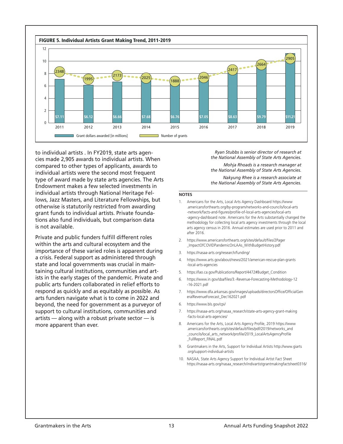

to individual artists . In FY2019, state arts agencies made 2,905 awards to individual artists. When compared to other types of applicants, awards to individual artists were the second most frequent type of award made by state arts agencies. The Arts Endowment makes a few selected investments in individual artists through National Heritage Fellows, Jazz Masters, and Literature Fellowships, but otherwise is statutorily restricted from awarding grant funds to individual artists. Private foundations also fund individuals, but comparison data is not available.

Private and public funders fulfill different roles within the arts and cultural ecosystem and the importance of these varied roles is apparent during a crisis. Federal support as administered through state and local governments was crucial in maintaining cultural institutions, communities and artists in the early stages of the pandemic. Private and public arts funders collaborated in relief efforts to respond as quickly and as equitably as possible. As arts funders navigate what is to come in 2022 and beyond, the need for government as a purveyor of support to cultural institutions, communities and artists — along with a robust private sector — is more apparent than ever.

*Ryan Stubbs is senior director of research at the National Assembly of State Arts Agencies. Mohja Rhoads is a research manager at the National Assembly of State Arts Agencies. Nakyung Rhee is a research associate at the National Assembly of State Arts Agencies.*

#### **NOTES**

- 1. Americans for the Arts, Local Arts Agency Dashboard https://www .americansforthearts.org/by-program/networks-and-councils/local-arts -network/facts-and-figures/profile-of-local-arts-agencies/local-arts -agency-dashboard note. Americans for the Arts substantially changed the methodology for collecting local arts agency investments through the local arts agency census in 2016. Annual estimates are used prior to 2011 and after 2016.
- 2. https://www.americansforthearts.org/sites/default/files/2Pager \_ImpactOfCOVIDPandemicOnLAAs\_WithBudgetHistory.pdf
- 3. https://nasaa-arts.org/research/funding/
- 4. https://www.arts.gov/about/news/2021/american-rescue-plan-grants -local-arts-agencies
- 5. https://lao.ca.gov/Publications/Report/4472#Budget\_Condition
- 6. https://www.in.gov/sba/files/3.-Revenue-Forecasting-Methodology-12 -16-2021.pdf
- 7. https://www.dfa.arkansas.gov/images/uploads/directorsOffice/OfficialGen eralRevenueForecast\_Dec162021.pdf
- 6. https://www.bls.gov/cpi/
- 7. https://nasaa-arts.org/nasaa\_research/state-arts-agency-grant-making -facts-local-arts-agencies/
- 8. Americans for the Arts, Local Arts Agency Profile, 2019 https://www .americansforthearts.org/sites/default/files/pdf/2019/networks\_and \_councils/local\_arts\_network/profile/2019\_LocalArtsAgencyProfile FullReport\_FINAL.pdf
- 9. Grantmakers in the Arts, Support for Individual Artists http://www.giarts .org/support-individual-artists
- 10. NASAA, State Arts Agency Support for Individual Artist Fact Sheet https://nasaa-arts.org/nasaa\_research/indivartistgrantmakingfactsheet0316/